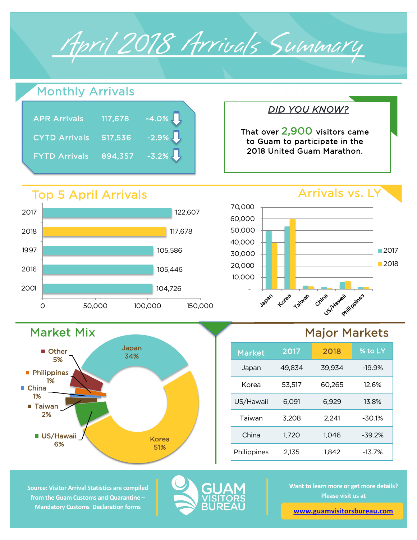

## Monthly Arrivals

| <b>APR Arrivals</b>  | 117,678 | $-4.0\%$ |
|----------------------|---------|----------|
| <b>CYTD Arrivals</b> | 517,536 | $-2.9\%$ |
| <b>FYTD Arrivals</b> | 894,357 | $-3.2\%$ |

## Top 5 April Arrivals

Market Mix

**US/Hawaii** 6%

■ Taiwan 2%

**Philippines** 1%

**Other** 5%

China 1%



Japan 34%

> Korea 51%



*DID YOU KNOW?*

That over 2,900 visitors came to Guam to participate in the 2018 United Guam Marathon.

## Major Markets

| <b>Market</b> | 2017   | 2018   | % to LY  |
|---------------|--------|--------|----------|
| Japan         | 49,834 | 39,934 | $-19.9%$ |
| Korea         | 53,517 | 60.265 | 12.6%    |
| US/Hawaii     | 6,091  | 6,929  | 13.8%    |
| Taiwan        | 3,208  | 2,241  | $-30.1%$ |
| China         | 1.720  | 1,046  | $-39.2%$ |
| Philippines   | 2,135  | 1,842  | $-13.7%$ |

**Source: Visitor Arrival Statistics are compiled from the Guam Customs and Quarantine – Mandatory Customs Declaration forms** 



**Want to learn more or get more details? Please visit us at** 

**[www.guamvisitorsbureau.co](https://www.guamvisitorsbureau.com/research-and-reports/research)m**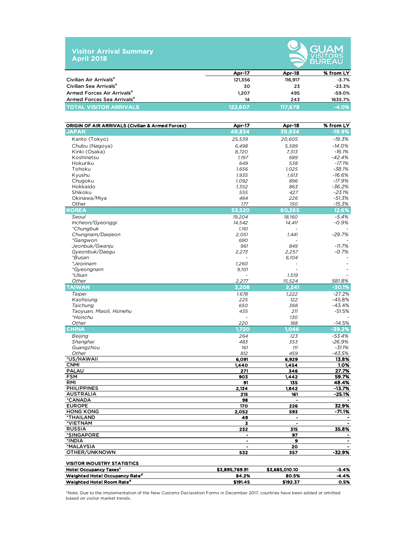



|                                        |               | ____________ |           |  |  |
|----------------------------------------|---------------|--------------|-----------|--|--|
|                                        | <b>Apr-17</b> | Apr-18       | % from LY |  |  |
| Civilian Air Arrivals <sup>a</sup>     | 121,356       | 116.917      | $-3.7%$   |  |  |
| Civilian Sea Arrivals <sup>a</sup>     | 30            | 23           | $-23.3%$  |  |  |
| Armed Forces Air Arrivals <sup>a</sup> | 1.207         | 495          | $-59.0%$  |  |  |
| Armed Forces Sea Arrivals <sup>a</sup> | 14            | 243          | 1635.7%   |  |  |
| <b>TOTAL VISITOR ARRIVALS</b>          | 122.607       | 117.678      | $-4.0%$   |  |  |

| <b>ORIGIN OF AIR ARRIVALS (Civilian &amp; Armed Forces)</b> | Apr-17         | Apr-18         | % from LY           |
|-------------------------------------------------------------|----------------|----------------|---------------------|
| <b>JAPAN</b>                                                | 49,834         | 39,934         | $-19.9%$            |
| Kanto (Tokyo)                                               | 25,539         | 20,605         | $-19.3%$            |
| Chubu (Nagoya)                                              | 6,498          | 5,589          | $-14.0%$            |
| Kinki (Osaka)                                               | 8,720          | 7,313          | $-16.1%$            |
| Koshinetsu                                                  | 1,197          | 689            | $-42.4%$            |
| Hokuriku                                                    | 649            | 538            | $-17.1%$            |
| Tohoku                                                      | 1,656          | 1,025          | $-38.1%$            |
| Kyushu                                                      | 1,935          | 1,613          | $-16.6%$            |
| Chugoku                                                     | 1,092          | 896            | $-17.9%$            |
| Hokkaido                                                    | 1,352          | 863            | $-36.2%$            |
| Shikoku                                                     | 555            | 427            | $-23.1%$            |
| Okinawa/Miya                                                | 464            | 226            | $-51.3%$            |
| Other                                                       | 177            | 150            | $-15.3\%$           |
| <b>KOREA</b>                                                | 53,520         | 60.265         | 12.6%               |
| Seoul                                                       | 19,204         | 18,160         | $-5.4%$             |
| Incheon/Gyeonggi                                            | 14,542         | 14,411         | $-0.9%$             |
| *Chungbuk                                                   | 1,161          |                |                     |
| Chungnam/Daejeon                                            | 2,051          | 1,441          | $-29.7%$            |
| <i>*Gangwon</i>                                             | 690            |                |                     |
| Jeonbuk/Gwanju<br>Gyeonbuk/Daegu                            | 961<br>2,273   | 849            | $-11.7%$<br>$-0.7%$ |
| <i>*Busan</i>                                               |                | 2,257<br>6,104 |                     |
| *Jeonnam                                                    | 1,260          |                |                     |
| <i>*Gyeongnam</i>                                           | 9,101          |                |                     |
| *Ulsan                                                      |                | 1,519          |                     |
| Other                                                       | 2,277          | 15,524         | 581.8%              |
| <b>TAIWAN</b>                                               | 3.208          | 2,241          | $-30.1%$            |
| Taipei                                                      | 1,678          | 1,222          | $-27.2%$            |
| Kaohsiung                                                   | 225            | 122            | $-45.8%$            |
| Taichung                                                    | 650            | 368            | $-43.4%$            |
| Taoyuan, Miaoli, Hsinehu                                    | 435            | 211            | $-51.5%$            |
| <i>*Hsinchu</i>                                             |                | 130            |                     |
| Other                                                       | 220            | 188            | $-14.5%$            |
| <b>CHINA</b>                                                | 1,720          | 1.046          | $-39.2%$            |
| Beijing                                                     | 264            | 123            | $-53.4%$            |
| Shanghai                                                    | 483            | 353            | $-26.9%$            |
| Guangzhou                                                   | 161            | 111            | $-31.1%$            |
| Other                                                       | 812            | 459            | $-43.5%$            |
| *US/HAWAII                                                  | 6,091          | 6,929          | 13.8%               |
| <b>CNMI</b>                                                 | 1,440          | 1,454          | 1.0%                |
| <b>PALAU</b>                                                | 271            | 346            | 27.7%               |
| <b>FSM</b>                                                  | 903            | 1,442          | 59.7%               |
| <b>RMI</b>                                                  | 91             | 135            | 48.4%               |
| <b>PHILIPPINES</b>                                          | 2,134          | 1,842          | -13.7%              |
| <b>AUSTRALIA</b>                                            | 215            | 161            | $-25.1%$            |
| *CANADA                                                     | 98             |                |                     |
| <b>EUROPE</b>                                               | 170            | 226            | 32.9%<br>$-71.1%$   |
| <b>HONG KONG</b><br><b>*THAILAND</b>                        | 2,052<br>49    | 593<br>٠       |                     |
| *VIETNAM                                                    | 3              | ٠              | $\blacksquare$      |
| <b>RUSSIA</b>                                               | 232            | 315            | 35.8%               |
| *SINGAPORE                                                  | $\blacksquare$ | 97             | ٠                   |
| *INDIA                                                      |                | 9              |                     |
| *MALAYSIA                                                   | $\bullet$      | 20             | $\bullet$           |
| OTHER/UNKNOWN                                               | 532            | 357            | -32.9%              |
| <b>VISITOR INDUSTRY STATISTICS</b>                          |                |                |                     |
| <b>Hotel Occupancy Taxes<sup>c</sup></b>                    | \$3,895,769.91 | \$3,685,010.10 | $-5.4%$             |
| <b>Weighted Hotel Occupancy Rated</b>                       | 84.2%          | 80.5%          | -4.4%               |
| Weighted Hotel Room Rate <sup>d</sup>                       | \$191.45       | \$192.37       | 0.5%                |

\*Note: Due to the implementation of the New Customs Declaration Forms in December 2017, countries have been added or omitted based on visitor market trends.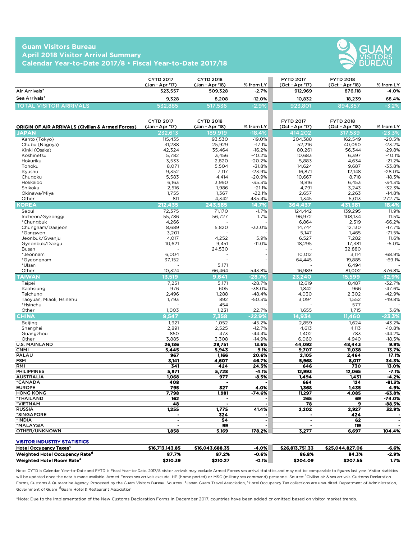## **Guam Visitors Bureau April 2018 Visitor Arrival Summary Calendar Year-to-Date 2017/8 • Fiscal Year-to-Date 2017/18**



|                                | <b>CYTD 2017</b><br>(Jan - Apr '17) | <b>CYTD 2018</b><br>(Jan - Apr '18) | $%$ from LY | <b>FYTD 2017</b><br>(Oct - Apr '17) | <b>FYTD 2018</b><br>(Oct - Apr '18) | % from LY |
|--------------------------------|-------------------------------------|-------------------------------------|-------------|-------------------------------------|-------------------------------------|-----------|
| Air Arrivals <sup>a</sup>      | 523.557                             | 509.328                             | $-2.7%$     | 912,969                             | 876.118                             | $-4.0%$   |
| Sea Arrivals <sup>a</sup>      | 9.328                               | 8.208                               | $-12.0%$    | 10.832                              | 18.239                              | 68.4%     |
| <b>TOTAL VISITOR ARRIVALS.</b> | 532.885                             | 517.536                             | $-2.9%$     | 923.801                             | 894.357                             | $-3.2%$   |

| <b>ORIGIN OF AIR ARRIVALS (Civilian &amp; Armed Forces)</b> | <b>CYTD 2017</b><br>(Jan - Apr '17)    | <b>CYTD 2018</b><br>(Jan - Apr '18) | % from LY            | <b>FYTD 2017</b><br>(Oct - Apr '17) | <b>FYTD 2018</b><br>(Oct - Apr '18) | % from LY          |
|-------------------------------------------------------------|----------------------------------------|-------------------------------------|----------------------|-------------------------------------|-------------------------------------|--------------------|
| JAPAN                                                       | 232.613                                | 189,919                             | $-18.4%$             | 414.202                             | 317, <u>539</u>                     | $-23.3%$           |
| Kanto (Tokyo)                                               | 115,435                                | 93,530                              | $-19.0%$             | 204,388                             | 162,549                             | $-20.5%$           |
| Chubu (Nagoya)                                              | 31,288                                 | 25,929                              | $-17.1%$             | 52,216                              | 40,090                              | $-23.2%$           |
| Kinki (Osaka)                                               | 42,324                                 | 35,464                              | $-16.2%$             | 80,261                              | 56,344                              | $-29.8%$           |
| Koshinetsu                                                  | 5,782                                  | 3,456                               | $-40.2%$             | 10,683                              | 6,397                               | $-40.1%$           |
| Hokuriku                                                    | 3,533                                  | 2,820                               | $-20.2%$             | 5,883                               | 4,634                               | $-21.2%$           |
| Tohoku                                                      | 8,071                                  | 5,504                               | $-31.8%$             | 14,624                              | 9,687                               | $-33.8%$           |
| Kyushu                                                      | 9,352                                  | 7,117                               | $-23.9%$             | 16,871                              | 12,148                              | $-28.0%$           |
| Chugoku                                                     | 5,583                                  | 4,414                               | $-20.9%$             | 10,667                              | 8,718                               | $-18.3%$           |
| Hokkaido                                                    | 6,163                                  | 3,990                               | $-35.3%$             | 9,816                               | 6,453                               | $-34.3%$           |
| Shikoku                                                     | 2,516                                  | 1,986                               | $-21.1%$             | 4,791                               | 3,243                               | $-32.3%$           |
| Okinawa/Miya<br>Other                                       | 1,755<br>811                           | 1,367<br>4,342                      | $-22.1%$<br>435.4%   | 2,657<br>1,345                      | 2,263<br>5,013                      | $-14.8%$<br>272.7% |
| KOREA                                                       | 212,435                                | 243,585                             | 14.7%                | 364,437                             | 431,381                             | 18.4%              |
|                                                             |                                        |                                     |                      |                                     |                                     |                    |
| Seoul<br>Incheon/Gyeonggi                                   | 72,375<br>55,786                       | 71,170<br>56,727                    | $-1.7%$<br>1.7%      | 124,442<br>96,972                   | 139,295<br>108,134                  | 11.9%<br>11.5%     |
| *Chungbuk                                                   | 4,266                                  |                                     |                      | 6,864                               | 2,319                               | $-66.2%$           |
| Chungnam/Daejeon                                            | 8,689                                  | 5,820                               | $-33.0%$             | 14,744                              | 12,130                              | $-17.7%$           |
| *Gangwon                                                    | 3,201                                  |                                     |                      | 5,147                               | 1,465                               | $-71.5%$           |
| Jeonbuk/Gwanju                                              | 4,017                                  | 4,252                               | 5.9%                 | 6,527                               | 7,282                               | 11.6%              |
| Gyeonbuk/Daegu                                              | 10,621                                 | 9,451                               | $-11.0%$             | 18,295                              | 17,381                              | $-5.0%$            |
| Busan                                                       |                                        | 24,530                              |                      |                                     | 32,880                              |                    |
| *Jeonnam                                                    | 6,004                                  |                                     |                      | 10,012                              | 3,114                               | $-68.9%$           |
| *Gyeongnam                                                  | 37,152                                 |                                     |                      | 64,445                              | 19,885                              | $-69.1%$           |
| *Ulsan                                                      |                                        | 5.171                               |                      |                                     | 6,494                               |                    |
| Other                                                       | 10,324                                 | 66,464                              | 543.8%               | 16,989                              | 81,002                              | 376.8%             |
| <b>TAIWAN</b>                                               | 13.519                                 | 9.641                               | $-28.7%$             | 23,240                              | 15.599                              | $-32.9%$           |
| Taipei                                                      | 7,251                                  | 5,171                               | $-28.7%$             | 12,619                              | 8,487                               | $-32.7%$           |
| Kaohsiung                                                   | 976                                    | 605                                 | $-38.0%$             | 1,842                               | 966                                 | $-47.6%$           |
| Taichung                                                    | 2.496                                  | 1,288                               | $-48.4%$             | 4,030                               | 2,302                               | $-42.9%$           |
| Taoyuan, Miaoli, Hsinehu                                    | 1,793                                  | 892                                 | $-50.3%$             | 3,094                               | 1,552                               | $-49.8%$           |
| *Hsinchu                                                    |                                        | 454                                 |                      |                                     | 577                                 |                    |
| Other                                                       | 1,003                                  | 1,231                               | 22.7%                | 1,655                               | 1,715                               | 3.6%               |
| <b>CHINA</b>                                                | 9,547                                  | 7.358                               | $-22.9%$             | 14.934                              | 11,460                              | $-23.3%$           |
| <b>Beijing</b>                                              | 1,921                                  | 1,052                               | $-45.2%$             | 2,859                               | 1,624                               | $-43.2%$           |
| Shanghai                                                    | 2,891                                  | 2,525                               | $-12.7%$             | 4,613                               | 4,113                               | $-10.8%$           |
| Guangzhou                                                   | 850                                    | 473                                 | $-44.4%$             | 1,402                               | 783                                 | $-44.2%$           |
| Other                                                       | 3,885                                  | 3,308                               | $-14.9%$             | 6,060                               | 4,940                               | $-18.5%$           |
| <b>U.S. MAINLAND</b><br><b>CNMI</b>                         | 26,186<br>5,445                        | 29,751<br>5,943                     | 13.6%<br>9.1%        | 44,092<br>9.707                     | 48,443<br>11.038                    | 9.9%<br>13.7%      |
| <b>PALAU</b>                                                | 967                                    | 1,166                               | 20.6%                | 2.105                               | 2,464                               | 17.1%              |
| <b>FSM</b>                                                  | 3,141                                  | 4.607                               | 46.7%                | 5,968                               | 8.017                               | 34.3%              |
| RMI                                                         | 341                                    | 424                                 | 24.3%                | 646                                 | 730                                 | 13.0%              |
| <b>PHILIPPINES</b>                                          | 5,971                                  | 5,728                               | -4.1%                | 12,993                              | 12,065                              | $-7.1%$            |
| <b>AUSTRALIA</b>                                            | 1,068                                  | $\overline{977}$                    | $-8.5%$              | 1,494                               | 1,431                               | $-4.2%$            |
| *CANADA                                                     | 408                                    | $\ddot{\phantom{a}}$                |                      | 664                                 | 124                                 | $-81.3%$           |
| <b>EUROPE</b>                                               | 795                                    | $\overline{827}$                    | 4.0%                 | 1,368                               | 1,435                               | 4.9%               |
| <b>HONG KONG</b>                                            | 7,798                                  | 1,981                               | $-74.6%$             | 11,297                              | 4,085                               | $-63.8%$           |
| *THAILAND                                                   | 162                                    | $\blacksquare$                      |                      | 265                                 | 69                                  | $-74.0%$           |
| *VIETNAM                                                    | 48                                     | $\blacksquare$                      | $\ddot{\phantom{a}}$ | 78                                  | $\mathbf{9}$                        | $-88.5%$           |
| <b>RUSSIA</b>                                               | 1,255                                  | 1,775                               | 41.4%                | 2,202                               | 2,927                               | 32.9%              |
| *SINGAPORE                                                  | $\bullet$                              | 324                                 |                      | $\bullet$                           | 424                                 |                    |
| *INDIA                                                      | $\ddot{\phantom{0}}$<br>$\blacksquare$ | 54<br>99                            | $\ddot{\phantom{0}}$ | $\blacksquare$<br>$\blacksquare$    | 62                                  | $\bullet$          |
| *MALAYSIA<br>OTHER/UNKNOWN                                  | 1,858                                  | 5,169                               | 178.2%               | 3,277                               | 119<br>6,697                        | 104.4%             |
|                                                             |                                        |                                     |                      |                                     |                                     |                    |

| <b>VISITOR INDUSTRY STATISTICS</b>         |                 |                 |         |                 |                 |         |
|--------------------------------------------|-----------------|-----------------|---------|-----------------|-----------------|---------|
| <b>Hotel Occupancy Taxes<sup>c</sup></b>   | \$16,713,143.85 | \$16.043.688.35 | -4.0%   | \$26,813,751.33 | \$25.044.827.06 | -6.6%   |
| Weighted Hotel Occupancy Rate <sup>d</sup> | 87.7%           | 87.2%           | $-0.6%$ | 86.8%           | 84.3%           | $-2.9%$ |
| Weighted Hotel Room Rate <sup>d</sup>      | \$210.39        | \$210.27        | $-0.1%$ | \$204.09        | \$207.55        | 1.7%    |

Note: CYTD is Calendar Year-to-Date and FYTD is Fiscal Year-to-Date. 2017/8 visitor arrivals may exclude Armed Forces sea arrival statistics and may not be comparable to figures last year. Visitor statistics will be updated once the data is made available. Armed Forces sea arrivals exclude HP (home ported) or MSC (military sea command) personnel. Source: <sup>a</sup>Civilian air & sea arrivals. Customs Declaration Forms, Customs & Quarantine Agency. Processed by the Guam Visitors Bureau. Sources: 『Japan Guam Travel Association, <sup>C</sup>Hotel Occupancy Tax collections are unaudited. Department of Administration, Government of Guam dGuam Hotel & Restaurant Association

\*Note: Due to the implementation of the New Customs Declaration Forms in December 2017, countries have been added or omitted based on visitor market trends.